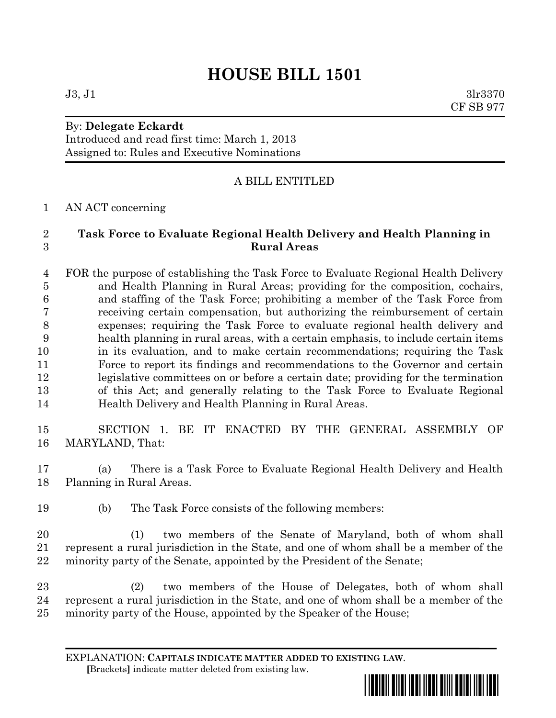# **HOUSE BILL 1501**

## By: **Delegate Eckardt**

Introduced and read first time: March 1, 2013 Assigned to: Rules and Executive Nominations

## A BILL ENTITLED

### AN ACT concerning

## **Task Force to Evaluate Regional Health Delivery and Health Planning in Rural Areas**

 FOR the purpose of establishing the Task Force to Evaluate Regional Health Delivery and Health Planning in Rural Areas; providing for the composition, cochairs, and staffing of the Task Force; prohibiting a member of the Task Force from receiving certain compensation, but authorizing the reimbursement of certain expenses; requiring the Task Force to evaluate regional health delivery and health planning in rural areas, with a certain emphasis, to include certain items in its evaluation, and to make certain recommendations; requiring the Task Force to report its findings and recommendations to the Governor and certain legislative committees on or before a certain date; providing for the termination of this Act; and generally relating to the Task Force to Evaluate Regional Health Delivery and Health Planning in Rural Areas.

 SECTION 1. BE IT ENACTED BY THE GENERAL ASSEMBLY OF MARYLAND, That:

 (a) There is a Task Force to Evaluate Regional Health Delivery and Health Planning in Rural Areas.

(b) The Task Force consists of the following members:

 (1) two members of the Senate of Maryland, both of whom shall represent a rural jurisdiction in the State, and one of whom shall be a member of the minority party of the Senate, appointed by the President of the Senate;

 (2) two members of the House of Delegates, both of whom shall represent a rural jurisdiction in the State, and one of whom shall be a member of the minority party of the House, appointed by the Speaker of the House;

EXPLANATION: **CAPITALS INDICATE MATTER ADDED TO EXISTING LAW**.  **[**Brackets**]** indicate matter deleted from existing law.



 $J3, J1$   $3lr3370$ CF SB 977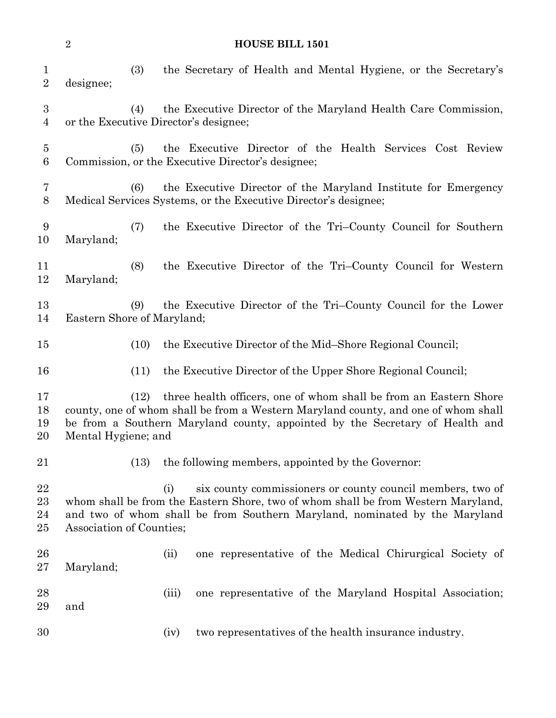|                                    | $\sqrt{2}$<br><b>HOUSE BILL 1501</b>                                                                                                                                                                                                                                   |      |                                                                                                                                                                                                                                      |  |
|------------------------------------|------------------------------------------------------------------------------------------------------------------------------------------------------------------------------------------------------------------------------------------------------------------------|------|--------------------------------------------------------------------------------------------------------------------------------------------------------------------------------------------------------------------------------------|--|
| $\mathbf{1}$<br>$\sqrt{2}$         | designee;                                                                                                                                                                                                                                                              | (3)  | the Secretary of Health and Mental Hygiene, or the Secretary's                                                                                                                                                                       |  |
| $\boldsymbol{3}$<br>$\overline{4}$ |                                                                                                                                                                                                                                                                        | (4)  | the Executive Director of the Maryland Health Care Commission,<br>or the Executive Director's designee;                                                                                                                              |  |
| $\overline{5}$<br>$6\phantom{.}6$  |                                                                                                                                                                                                                                                                        | (5)  | the Executive Director of the Health Services Cost Review<br>Commission, or the Executive Director's designee;                                                                                                                       |  |
| 7<br>8                             |                                                                                                                                                                                                                                                                        | (6)  | the Executive Director of the Maryland Institute for Emergency<br>Medical Services Systems, or the Executive Director's designee;                                                                                                    |  |
| 9<br>10                            | Maryland;                                                                                                                                                                                                                                                              | (7)  | the Executive Director of the Tri-County Council for Southern                                                                                                                                                                        |  |
| 11<br>12                           | Maryland;                                                                                                                                                                                                                                                              | (8)  | the Executive Director of the Tri-County Council for Western                                                                                                                                                                         |  |
| 13<br>14                           | Eastern Shore of Maryland;                                                                                                                                                                                                                                             | (9)  | the Executive Director of the Tri-County Council for the Lower                                                                                                                                                                       |  |
| 15                                 |                                                                                                                                                                                                                                                                        | (10) | the Executive Director of the Mid-Shore Regional Council;                                                                                                                                                                            |  |
| 16                                 |                                                                                                                                                                                                                                                                        | (11) | the Executive Director of the Upper Shore Regional Council;                                                                                                                                                                          |  |
| 17<br>18<br>19<br>20               | three health officers, one of whom shall be from an Eastern Shore<br>(12)<br>county, one of whom shall be from a Western Maryland county, and one of whom shall<br>be from a Southern Maryland county, appointed by the Secretary of Health and<br>Mental Hygiene; and |      |                                                                                                                                                                                                                                      |  |
| 21                                 |                                                                                                                                                                                                                                                                        | (13) | the following members, appointed by the Governor:                                                                                                                                                                                    |  |
| 22<br>23<br>24<br>25               | Association of Counties;                                                                                                                                                                                                                                               |      | six county commissioners or county council members, two of<br>(i)<br>whom shall be from the Eastern Shore, two of whom shall be from Western Maryland,<br>and two of whom shall be from Southern Maryland, nominated by the Maryland |  |
| 26<br>$27\,$                       | Maryland;                                                                                                                                                                                                                                                              |      | one representative of the Medical Chirurgical Society of<br>(ii)                                                                                                                                                                     |  |
| 28<br>29                           | and                                                                                                                                                                                                                                                                    |      | (iii)<br>one representative of the Maryland Hospital Association;                                                                                                                                                                    |  |
| 30                                 |                                                                                                                                                                                                                                                                        |      | two representatives of the health insurance industry.<br>(iv)                                                                                                                                                                        |  |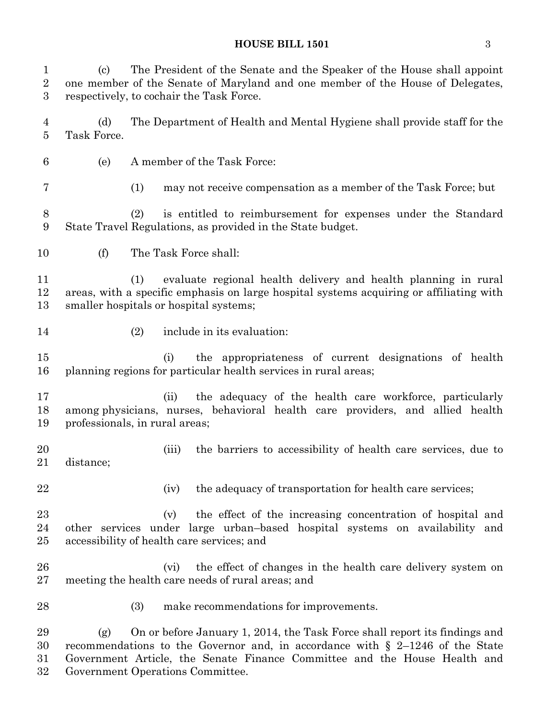#### **HOUSE BILL 1501** 3

 (c) The President of the Senate and the Speaker of the House shall appoint one member of the Senate of Maryland and one member of the House of Delegates, respectively, to cochair the Task Force.

 (d) The Department of Health and Mental Hygiene shall provide staff for the Task Force.

(e) A member of the Task Force:

(1) may not receive compensation as a member of the Task Force; but

 (2) is entitled to reimbursement for expenses under the Standard State Travel Regulations, as provided in the State budget.

(f) The Task Force shall:

 (1) evaluate regional health delivery and health planning in rural areas, with a specific emphasis on large hospital systems acquiring or affiliating with smaller hospitals or hospital systems;

- 
- (2) include in its evaluation:

 (i) the appropriateness of current designations of health planning regions for particular health services in rural areas;

 (ii) the adequacy of the health care workforce, particularly among physicians, nurses, behavioral health care providers, and allied health professionals, in rural areas;

- (iii) the barriers to accessibility of health care services, due to distance;
- 

22 (iv) the adequacy of transportation for health care services;

 (v) the effect of the increasing concentration of hospital and other services under large urban–based hospital systems on availability and accessibility of health care services; and

- (vi) the effect of changes in the health care delivery system on meeting the health care needs of rural areas; and
- 
- (3) make recommendations for improvements.

 (g) On or before January 1, 2014, the Task Force shall report its findings and recommendations to the Governor and, in accordance with § 2–1246 of the State Government Article, the Senate Finance Committee and the House Health and Government Operations Committee.